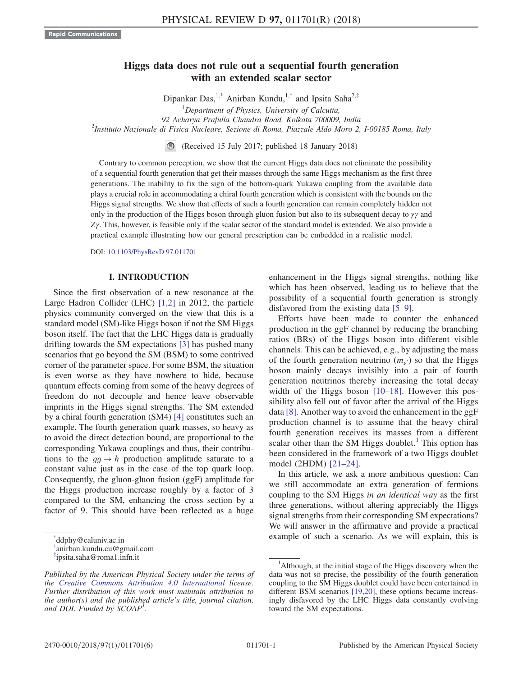# Higgs data does not rule out a sequential fourth generation with an extended scalar sector

<span id="page-0-3"></span>Dipankar Das,<sup>1[,\\*](#page-0-0)</sup> Anirban Kundu,<sup>1,[†](#page-0-1)</sup> and Ipsita Saha<sup>2,[‡](#page-0-2)</sup>  ${}^{1}$ Department of Physics, University of Calcutta, 92 Acharya Prafulla Chandra Road, Kolkata 700009, India <sup>2</sup> <sup>2</sup>Instituto Nazionale di Fisica Nucleare, Sezione di Roma, Piazzale Aldo Moro 2, I-00185 Roma, Italy

(Received 15 July 2017; published 18 January 2018)

Contrary to common perception, we show that the current Higgs data does not eliminate the possibility of a sequential fourth generation that get their masses through the same Higgs mechanism as the first three generations. The inability to fix the sign of the bottom-quark Yukawa coupling from the available data plays a crucial role in accommodating a chiral fourth generation which is consistent with the bounds on the Higgs signal strengths. We show that effects of such a fourth generation can remain completely hidden not only in the production of the Higgs boson through gluon fusion but also to its subsequent decay to  $\gamma\gamma$  and  $Z\gamma$ . This, however, is feasible only if the scalar sector of the standard model is extended. We also provide a practical example illustrating how our general prescription can be embedded in a realistic model.

DOI: [10.1103/PhysRevD.97.011701](https://doi.org/10.1103/PhysRevD.97.011701)

## I. INTRODUCTION

Since the first observation of a new resonance at the Large Hadron Collider (LHC) [\[1,2\]](#page-4-0) in 2012, the particle physics community converged on the view that this is a standard model (SM)-like Higgs boson if not the SM Higgs boson itself. The fact that the LHC Higgs data is gradually drifting towards the SM expectations [\[3\]](#page-4-1) has pushed many scenarios that go beyond the SM (BSM) to some contrived corner of the parameter space. For some BSM, the situation is even worse as they have nowhere to hide, because quantum effects coming from some of the heavy degrees of freedom do not decouple and hence leave observable imprints in the Higgs signal strengths. The SM extended by a chiral fourth generation (SM4) [\[4\]](#page-4-2) constitutes such an example. The fourth generation quark masses, so heavy as to avoid the direct detection bound, are proportional to the corresponding Yukawa couplings and thus, their contributions to the  $gg \to h$  production amplitude saturate to a constant value just as in the case of the top quark loop. Consequently, the gluon-gluon fusion (ggF) amplitude for the Higgs production increase roughly by a factor of 3 compared to the SM, enhancing the cross section by a factor of 9. This should have been reflected as a huge

<span id="page-0-0"></span>

<span id="page-0-1"></span>[†](#page-0-3) anirban.kundu.cu@gmail.com

<span id="page-0-2"></span>[‡](#page-0-3) ipsita.saha@roma1.infn.it

enhancement in the Higgs signal strengths, nothing like which has been observed, leading us to believe that the possibility of a sequential fourth generation is strongly disfavored from the existing data [5–[9\]](#page-4-3).

Efforts have been made to counter the enhanced production in the ggF channel by reducing the branching ratios (BRs) of the Higgs boson into different visible channels. This can be achieved, e.g., by adjusting the mass of the fourth generation neutrino  $(m_{\nu})$  so that the Higgs boson mainly decays invisibly into a pair of fourth generation neutrinos thereby increasing the total decay width of the Higgs boson [\[10](#page-4-4)–18]. However this possibility also fell out of favor after the arrival of the Higgs data [\[8\]](#page-4-5). Another way to avoid the enhancement in the ggF production channel is to assume that the heavy chiral fourth generation receives its masses from a different scalar other than the SM Higgs doublet.<sup>1</sup> This option has been considered in the framework of a two Higgs doublet model (2HDM) [21–[24\].](#page-4-6)

In this article, we ask a more ambitious question: Can we still accommodate an extra generation of fermions coupling to the SM Higgs in an identical way as the first three generations, without altering appreciably the Higgs signal strengths from their corresponding SM expectations? We will answer in the affirmative and provide a practical  $\frac{d}{d}$  example of such a scenario. As we will explain, this is ddphy@caluniv.ac.in

Published by the American Physical Society under the terms of the [Creative Commons Attribution 4.0 International](https://creativecommons.org/licenses/by/4.0/) license. Further distribution of this work must maintain attribution to the author(s) and the published article's title, journal citation, and DOI. Funded by SCOAP<sup>3</sup>.

<sup>&</sup>lt;sup>1</sup>Although, at the initial stage of the Higgs discovery when the data was not so precise, the possibility of the fourth generation coupling to the SM Higgs doublet could have been entertained in different BSM scenarios [\[19,20\]](#page-4-7), these options became increasingly disfavored by the LHC Higgs data constantly evolving toward the SM expectations.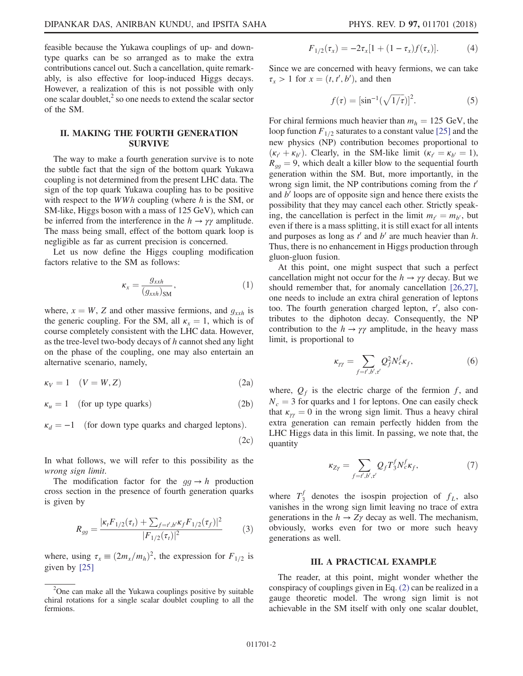feasible because the Yukawa couplings of up- and downtype quarks can be so arranged as to make the extra contributions cancel out. Such a cancellation, quite remarkably, is also effective for loop-induced Higgs decays. However, a realization of this is not possible with only one scalar doublet, $\frac{2}{x}$  so one needs to extend the scalar sector of the SM.

# II. MAKING THE FOURTH GENERATION SURVIVE

The way to make a fourth generation survive is to note the subtle fact that the sign of the bottom quark Yukawa coupling is not determined from the present LHC data. The sign of the top quark Yukawa coupling has to be positive with respect to the *WWh* coupling (where  $h$  is the SM, or SM-like, Higgs boson with a mass of 125 GeV), which can be inferred from the interference in the  $h \to \gamma \gamma$  amplitude. The mass being small, effect of the bottom quark loop is negligible as far as current precision is concerned.

Let us now define the Higgs coupling modification factors relative to the SM as follows:

$$
\kappa_x = \frac{g_{xxh}}{(g_{xxh})_{\text{SM}}},\tag{1}
$$

where,  $x = W$ , Z and other massive fermions, and  $g_{xxh}$  is the generic coupling. For the SM, all  $\kappa_x = 1$ , which is of course completely consistent with the LHC data. However, as the tree-level two-body decays of  $h$  cannot shed any light on the phase of the coupling, one may also entertain an alternative scenario, namely,

<span id="page-1-0"></span>
$$
\kappa_V = 1 \quad (V = W, Z) \tag{2a}
$$

 $\kappa_u = 1$  (for up type quarks) (2b)

$$
\kappa_d = -1
$$
 (for down type quarks and charged leptons). (2c)

In what follows, we will refer to this possibility as the wrong sign limit.

The modification factor for the  $gg \to h$  production cross section in the presence of fourth generation quarks is given by

$$
R_{gg} = \frac{|\kappa_t F_{1/2}(\tau_t) + \sum_{f=t',b'} \kappa_f F_{1/2}(\tau_f)|^2}{|F_{1/2}(\tau_t)|^2} \tag{3}
$$

where, using  $\tau_x \equiv (2m_x/m_h)^2$ , the expression for  $F_{1/2}$  is given by [\[25\]](#page-4-8)

$$
F_{1/2}(\tau_x) = -2\tau_x[1 + (1 - \tau_x)f(\tau_x)].
$$
 (4)

Since we are concerned with heavy fermions, we can take  $\tau_x > 1$  for  $x = (t, t', b')$ , and then

$$
f(\tau) = [\sin^{-1}(\sqrt{1/\tau})]^2.
$$
 (5)

For chiral fermions much heavier than  $m_h = 125$  GeV, the loop function  $F_{1/2}$  saturates to a constant value [\[25\]](#page-4-8) and the new physics (NP) contribution becomes proportional to  $(\kappa_{t'} + \kappa_{b'})$ . Clearly, in the SM-like limit  $(\kappa_{t'} = \kappa_{b'} = 1)$ ,  $R_{qq} = 9$ , which dealt a killer blow to the sequential fourth generation within the SM. But, more importantly, in the wrong sign limit, the NP contributions coming from the  $t'$ and  $b'$  loops are of opposite sign and hence there exists the possibility that they may cancel each other. Strictly speaking, the cancellation is perfect in the limit  $m_{t'} = m_{b'}$ , but even if there is a mass splitting, it is still exact for all intents and purposes as long as  $t'$  and  $b'$  are much heavier than  $h$ . Thus, there is no enhancement in Higgs production through gluon-gluon fusion.

At this point, one might suspect that such a perfect cancellation might not occur for the  $h \to \gamma \gamma$  decay. But we should remember that, for anomaly cancellation [\[26,27\]](#page-4-9), one needs to include an extra chiral generation of leptons too. The fourth generation charged lepton,  $\tau'$ , also contributes to the diphoton decay. Consequently, the NP contribution to the  $h \to \gamma \gamma$  amplitude, in the heavy mass limit, is proportional to

$$
\kappa_{\gamma\gamma} = \sum_{f=t',b',\tau'} Q_f^2 N_c^f \kappa_f,\tag{6}
$$

where,  $Q_f$  is the electric charge of the fermion f, and  $N_c = 3$  for quarks and 1 for leptons. One can easily check that  $\kappa_{\gamma\gamma} = 0$  in the wrong sign limit. Thus a heavy chiral extra generation can remain perfectly hidden from the LHC Higgs data in this limit. In passing, we note that, the quantity

$$
\kappa_{Z\gamma} = \sum_{f=f',b',\tau'} Q_f T_3^f N_c^f \kappa_f,\tag{7}
$$

where  $T_3^f$  denotes the isospin projection of  $f_L$ , also vanishes in the wrong sign limit leaving no trace of extra generations in the  $h \to Z\gamma$  decay as well. The mechanism, obviously, works even for two or more such heavy generations as well.

#### III. A PRACTICAL EXAMPLE

The reader, at this point, might wonder whether the conspiracy of couplings given in Eq. [\(2\)](#page-1-0) can be realized in a gauge theoretic model. The wrong sign limit is not achievable in the SM itself with only one scalar doublet,

<sup>&</sup>lt;sup>2</sup>One can make all the Yukawa couplings positive by suitable chiral rotations for a single scalar doublet coupling to all the fermions.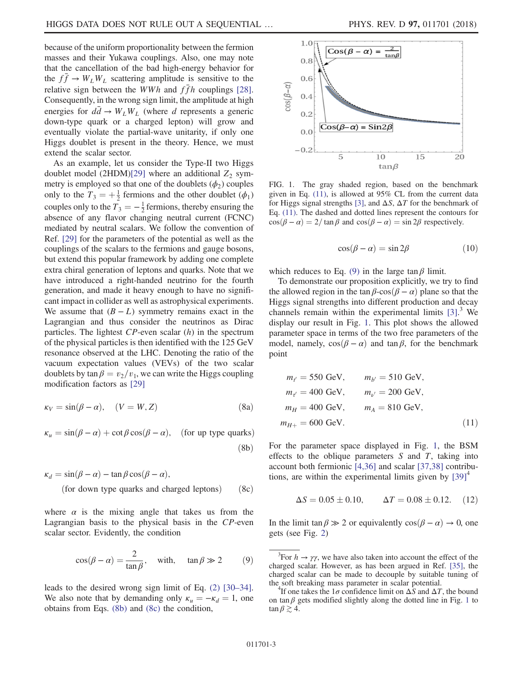because of the uniform proportionality between the fermion masses and their Yukawa couplings. Also, one may note that the cancellation of the bad high-energy behavior for the  $f\bar{f} \rightarrow W_L W_L$  scattering amplitude is sensitive to the relative sign between the *WWh* and  $\bar{f}$ h couplings [\[28\]](#page-5-0). Consequently, in the wrong sign limit, the amplitude at high energies for  $d\vec{d} \rightarrow W_L W_L$  (where d represents a generic down-type quark or a charged lepton) will grow and eventually violate the partial-wave unitarity, if only one Higgs doublet is present in the theory. Hence, we must extend the scalar sector.

As an example, let us consider the Type-II two Higgs doublet model (2HDM[\)\[29\]](#page-5-1) where an additional  $Z_2$  symmetry is employed so that one of the doublets  $(\phi_2)$  couples only to the  $T_3 = +\frac{1}{2}$  fermions and the other doublet  $(\phi_1)$ couples only to the  $T_3 = -\frac{1}{2}$  fermions, thereby ensuring the absence of any flavor changing neutral current (FCNC) mediated by neutral scalars. We follow the convention of Ref. [\[29\]](#page-5-1) for the parameters of the potential as well as the couplings of the scalars to the fermions and gauge bosons, but extend this popular framework by adding one complete extra chiral generation of leptons and quarks. Note that we have introduced a right-handed neutrino for the fourth generation, and made it heavy enough to have no significant impact in collider as well as astrophysical experiments. We assume that  $(B - L)$  symmetry remains exact in the Lagrangian and thus consider the neutrinos as Dirac particles. The lightest  $CP$ -even scalar  $(h)$  in the spectrum of the physical particles is then identified with the 125 GeV resonance observed at the LHC. Denoting the ratio of the vacuum expectation values (VEVs) of the two scalar doublets by tan  $\beta = v_2/v_1$ , we can write the Higgs coupling modification factors as [\[29\]](#page-5-1)

<span id="page-2-5"></span><span id="page-2-0"></span>
$$
\kappa_V = \sin(\beta - \alpha), \quad (V = W, Z) \tag{8a}
$$

<span id="page-2-1"></span>
$$
\kappa_u = \sin(\beta - \alpha) + \cot\beta \cos(\beta - \alpha), \quad \text{(for up type quarks)}
$$
\n(8b)

$$
\kappa_d = \sin(\beta - \alpha) - \tan\beta\cos(\beta - \alpha),
$$
  
(for down type quarks and charged leptons) (8c)

<span id="page-2-2"></span>where  $\alpha$  is the mixing angle that takes us from the Lagrangian basis to the physical basis in the CP-even scalar sector. Evidently, the condition

$$
\cos(\beta - \alpha) = \frac{2}{\tan \beta}, \quad \text{with,} \quad \tan \beta \gg 2 \tag{9}
$$

leads to the desired wrong sign limit of Eq. [\(2\)](#page-1-0) [\[30](#page-5-2)–34]. We also note that by demanding only  $\kappa_u = -\kappa_d = 1$ , one obtains from Eqs. [\(8b\)](#page-2-0) and [\(8c\)](#page-2-1) the condition,

<span id="page-2-3"></span>

FIG. 1. The gray shaded region, based on the benchmark given in Eq. [\(11\)](#page-2-4), is allowed at 95% CL from the current data for Higgs signal strengths [\[3\]](#page-4-1), and  $\Delta S$ ,  $\Delta T$  for the benchmark of Eq. [\(11\)](#page-2-4). The dashed and dotted lines represent the contours for  $\cos(\beta - \alpha) = 2/\tan \beta$  and  $\cos(\beta - \alpha) = \sin 2\beta$  respectively.

$$
\cos(\beta - \alpha) = \sin 2\beta \tag{10}
$$

which reduces to Eq. [\(9\)](#page-2-2) in the large  $\tan \beta$  limit.

To demonstrate our proposition explicitly, we try to find the allowed region in the tan  $\beta$ -cos $(\beta - \alpha)$  plane so that the Higgs signal strengths into different production and decay channels remain within the experimental limits [\[3\].](#page-4-1) <sup>3</sup> We display our result in Fig. [1.](#page-2-3) This plot shows the allowed parameter space in terms of the two free parameters of the model, namely,  $cos(\beta - \alpha)$  and tan  $\beta$ , for the benchmark point

<span id="page-2-4"></span>
$$
m_{t'} = 550 \text{ GeV}, \t m_{b'} = 510 \text{ GeV},
$$
  
\n
$$
m_{t'} = 400 \text{ GeV}, \t m_{t'} = 200 \text{ GeV},
$$
  
\n
$$
m_H = 400 \text{ GeV}, \t m_A = 810 \text{ GeV},
$$
  
\n
$$
m_{H+} = 600 \text{ GeV}.
$$
  
\n(11)

For the parameter space displayed in Fig. [1](#page-2-3), the BSM effects to the oblique parameters  $S$  and  $T$ , taking into account both fermionic [\[4,36\]](#page-4-2) and scalar [\[37,38\]](#page-5-3) contributions, are within the experimental limits given by  $[39]^4$ 

$$
\Delta S = 0.05 \pm 0.10, \qquad \Delta T = 0.08 \pm 0.12. \quad (12)
$$

In the limit tan  $\beta \gg 2$  or equivalently  $\cos(\beta - \alpha) \to 0$ , one gets (see Fig. [2](#page-3-0))

<sup>&</sup>lt;sup>3</sup>For  $h \to \gamma \gamma$ , we have also taken into account the effect of the charged scalar. However, as has been argued in Ref. [\[35\]](#page-5-5), the charged scalar can be made to decouple by suitable tuning of the soft breaking mass parameter in scalar potential. <sup>4</sup>

<sup>&</sup>lt;sup>4</sup>If one takes the  $1\sigma$  confidence limit on  $\Delta S$  and  $\Delta T$ , the bound on tan  $\beta$  gets modified slightly along the dotted line in Fig. [1](#page-2-3) to  $\tan \beta \gtrsim 4$ .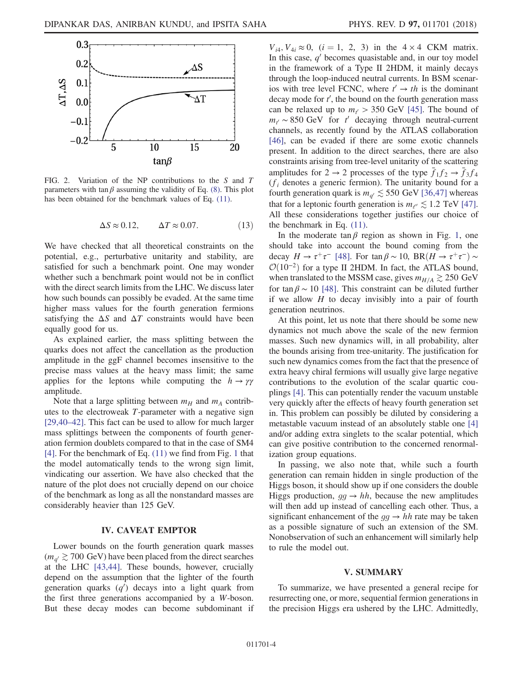<span id="page-3-0"></span>

FIG. 2. Variation of the NP contributions to the S and T parameters with tan  $\beta$  assuming the validity of Eq. [\(8\).](#page-2-5) This plot has been obtained for the benchmark values of Eq. [\(11\)](#page-2-4).

$$
\Delta S \approx 0.12, \qquad \Delta T \approx 0.07. \tag{13}
$$

We have checked that all theoretical constraints on the potential, e.g., perturbative unitarity and stability, are satisfied for such a benchmark point. One may wonder whether such a benchmark point would not be in conflict with the direct search limits from the LHC. We discuss later how such bounds can possibly be evaded. At the same time higher mass values for the fourth generation fermions satisfying the  $\Delta S$  and  $\Delta T$  constraints would have been equally good for us.

As explained earlier, the mass splitting between the quarks does not affect the cancellation as the production amplitude in the ggF channel becomes insensitive to the precise mass values at the heavy mass limit; the same applies for the leptons while computing the  $h \rightarrow \gamma \gamma$ amplitude.

Note that a large splitting between  $m_H$  and  $m_A$  contributes to the electroweak T-parameter with a negative sign [\[29,40](#page-5-1)–42]. This fact can be used to allow for much larger mass splittings between the components of fourth generation fermion doublets compared to that in the case of SM4 [\[4\]](#page-4-2). For the benchmark of Eq. [\(11\)](#page-2-4) we find from Fig. [1](#page-2-3) that the model automatically tends to the wrong sign limit, vindicating our assertion. We have also checked that the nature of the plot does not crucially depend on our choice of the benchmark as long as all the nonstandard masses are considerably heavier than 125 GeV.

### IV. CAVEAT EMPTOR

Lower bounds on the fourth generation quark masses  $(m_{q'} \gtrsim 700 \text{ GeV})$  have been placed from the direct searches at the LHC [\[43,44\]](#page-5-6). These bounds, however, crucially depend on the assumption that the lighter of the fourth generation quarks  $(q')$  decays into a light quark from the first three generations accompanied by a W-boson. But these decay modes can become subdominant if

 $V_{i4}$ ,  $V_{4i} \approx 0$ ,  $(i = 1, 2, 3)$  in the  $4 \times 4$  CKM matrix. In this case,  $q'$  becomes quasistable and, in our toy model in the framework of a Type II 2HDM, it mainly decays through the loop-induced neutral currents. In BSM scenarios with tree level FCNC, where  $t' \rightarrow th$  is the dominant decay mode for  $t'$ , the bound on the fourth generation mass can be relaxed up to  $m_{t'} > 350$  GeV [\[45\].](#page-5-7) The bound of  $m_{t'} \sim 850 \text{ GeV}$  for  $t'$  decaying through neutral-current channels, as recently found by the ATLAS collaboration [\[46\]](#page-5-8), can be evaded if there are some exotic channels present. In addition to the direct searches, there are also constraints arising from tree-level unitarity of the scattering amplitudes for  $2 \rightarrow 2$  processes of the type  $\bar{f}_1 f_2 \rightarrow \bar{f}_3 f_4$  $(f<sub>i</sub>$  denotes a generic fermion). The unitarity bound for a fourth generation quark is  $m_{q'} \lesssim 550$  GeV [\[36,47\]](#page-5-9) whereas that for a leptonic fourth generation is  $m_{\ell} \lesssim 1.2$  TeV [\[47\]](#page-5-10). All these considerations together justifies our choice of the benchmark in Eq. [\(11\)](#page-2-4).

In the moderate tan  $\beta$  region as shown in Fig. [1,](#page-2-3) one should take into account the bound coming from the decay  $H \to \tau^+\tau^-$  [\[48\].](#page-5-11) For tan  $\beta \sim 10$ , BR $(H \to \tau^+\tau^-) \sim$  $\mathcal{O}(10^{-2})$  for a type II 2HDM. In fact, the ATLAS bound, when translated to the MSSM case, gives  $m_{H/A} \gtrsim 250 \text{ GeV}$ for tan  $\beta \sim 10$  [\[48\]](#page-5-11). This constraint can be diluted further if we allow  $H$  to decay invisibly into a pair of fourth generation neutrinos.

At this point, let us note that there should be some new dynamics not much above the scale of the new fermion masses. Such new dynamics will, in all probability, alter the bounds arising from tree-unitarity. The justification for such new dynamics comes from the fact that the presence of extra heavy chiral fermions will usually give large negative contributions to the evolution of the scalar quartic couplings [\[4\]](#page-4-2). This can potentially render the vacuum unstable very quickly after the effects of heavy fourth generation set in. This problem can possibly be diluted by considering a metastable vacuum instead of an absolutely stable one [\[4\]](#page-4-2) and/or adding extra singlets to the scalar potential, which can give positive contribution to the concerned renormalization group equations.

In passing, we also note that, while such a fourth generation can remain hidden in single production of the Higgs boson, it should show up if one considers the double Higgs production,  $gg \rightarrow hh$ , because the new amplitudes will then add up instead of cancelling each other. Thus, a significant enhancement of the  $gg \to hh$  rate may be taken as a possible signature of such an extension of the SM. Nonobservation of such an enhancement will similarly help to rule the model out.

#### V. SUMMARY

To summarize, we have presented a general recipe for resurrecting one, or more, sequential fermion generations in the precision Higgs era ushered by the LHC. Admittedly,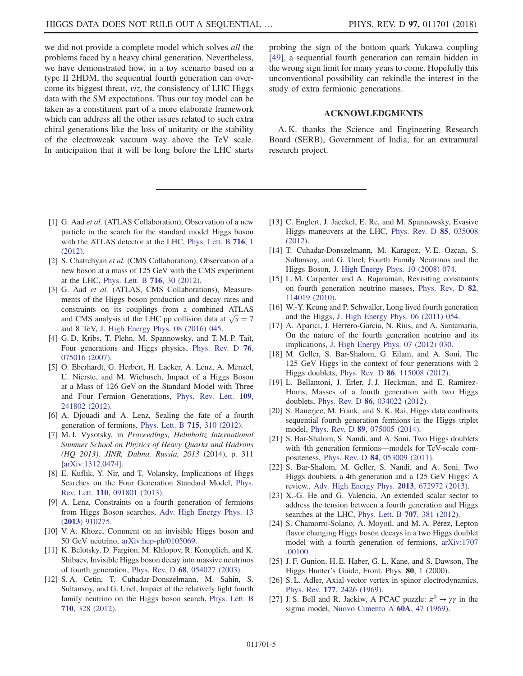we did not provide a complete model which solves *all* the problems faced by a heavy chiral generation. Nevertheless, we have demonstrated how, in a toy scenario based on a type II 2HDM, the sequential fourth generation can overcome its biggest threat, viz, the consistency of LHC Higgs data with the SM expectations. Thus our toy model can be taken as a constituent part of a more elaborate framework which can address all the other issues related to such extra chiral generations like the loss of unitarity or the stability of the electroweak vacuum way above the TeV scale. In anticipation that it will be long before the LHC starts probing the sign of the bottom quark Yukawa coupling [\[49\]](#page-5-12), a sequential fourth generation can remain hidden in the wrong sign limit for many years to come. Hopefully this unconventional possibility can rekindle the interest in the study of extra fermionic generations.

## ACKNOWLEDGMENTS

A. K. thanks the Science and Engineering Research Board (SERB), Government of India, for an extramural research project.

- <span id="page-4-0"></span>[1] G. Aad et al. (ATLAS Collaboration), Observation of a new particle in the search for the standard model Higgs boson with the ATLAS detector at the LHC, [Phys. Lett. B](https://doi.org/10.1016/j.physletb.2012.08.020) 716, 1 [\(2012\).](https://doi.org/10.1016/j.physletb.2012.08.020)
- [2] S. Chatrchyan et al. (CMS Collaboration), Observation of a new boson at a mass of 125 GeV with the CMS experiment at the LHC, [Phys. Lett. B](https://doi.org/10.1016/j.physletb.2012.08.021) 716, 30 (2012).
- <span id="page-4-1"></span>[3] G. Aad et al. (ATLAS, CMS Collaborations), Measurements of the Higgs boson production and decay rates and constraints on its couplings from a combined ATLAS and CMS analysis of the LHC pp collision data at  $\sqrt{s} = 7$ and 8 TeV, [J. High Energy Phys. 08 \(2016\) 045.](https://doi.org/10.1007/JHEP08(2016)045)
- <span id="page-4-2"></span>[4] G. D. Kribs, T. Plehn, M. Spannowsky, and T. M. P. Tait, Four generations and Higgs physics, [Phys. Rev. D](https://doi.org/10.1103/PhysRevD.76.075016) 76, [075016 \(2007\).](https://doi.org/10.1103/PhysRevD.76.075016)
- <span id="page-4-3"></span>[5] O. Eberhardt, G. Herbert, H. Lacker, A. Lenz, A. Menzel, U. Nierste, and M. Wiebusch, Impact of a Higgs Boson at a Mass of 126 GeV on the Standard Model with Three and Four Fermion Generations, [Phys. Rev. Lett.](https://doi.org/10.1103/PhysRevLett.109.241802) 109, [241802 \(2012\).](https://doi.org/10.1103/PhysRevLett.109.241802)
- [6] A. Djouadi and A. Lenz, Sealing the fate of a fourth generation of fermions, [Phys. Lett. B](https://doi.org/10.1016/j.physletb.2012.07.060) 715, 310 (2012).
- [7] M. I. Vysotsky, in Proceedings, Helmholtz International Summer School on Physics of Heavy Quarks and Hadrons (HQ 2013), JINR, Dubna, Russia, 2013 (2014), p. 311 [[arXiv:1312.0474\].](http://arXiv.org/abs/1312.0474)
- <span id="page-4-5"></span>[8] E. Kuflik, Y. Nir, and T. Volansky, Implications of Higgs Searches on the Four Generation Standard Model, [Phys.](https://doi.org/10.1103/PhysRevLett.110.091801) Rev. Lett. 110[, 091801 \(2013\).](https://doi.org/10.1103/PhysRevLett.110.091801)
- [9] A. Lenz, Constraints on a fourth generation of fermions from Higgs Boson searches, [Adv. High Energy Phys. 13](https://doi.org/10.1155/2013/910275) (2013[\) 910275.](https://doi.org/10.1155/2013/910275)
- <span id="page-4-4"></span>[10] V. A. Khoze, Comment on an invisible Higgs boson and 50 GeV neutrino, [arXiv:hep-ph/0105069.](http://arXiv.org/abs/hep-ph/0105069)
- [11] K. Belotsky, D. Fargion, M. Khlopov, R. Konoplich, and K. Shibaev, Invisible Higgs boson decay into massive neutrinos of fourth generation, Phys. Rev. D 68[, 054027 \(2003\)](https://doi.org/10.1103/PhysRevD.68.054027).
- [12] S. A. Cetin, T. Cuhadar-Donszelmann, M. Sahin, S. Sultansoy, and G. Unel, Impact of the relatively light fourth family neutrino on the Higgs boson search, [Phys. Lett. B](https://doi.org/10.1016/j.physletb.2012.02.088) 710[, 328 \(2012\)](https://doi.org/10.1016/j.physletb.2012.02.088).
- [13] C. Englert, J. Jaeckel, E. Re, and M. Spannowsky, Evasive Higgs maneuvers at the LHC, [Phys. Rev. D](https://doi.org/10.1103/PhysRevD.85.035008) 85, 035008 [\(2012\).](https://doi.org/10.1103/PhysRevD.85.035008)
- [14] T. Cuhadar-Donszelmann, M. Karagoz, V. E. Ozcan, S. Sultansoy, and G. Unel, Fourth Family Neutrinos and the Higgs Boson, [J. High Energy Phys. 10 \(2008\) 074.](https://doi.org/10.1088/1126-6708/2008/10/074)
- [15] L. M. Carpenter and A. Rajaraman, Revisiting constraints on fourth generation neutrino masses, [Phys. Rev. D](https://doi.org/10.1103/PhysRevD.82.114019) 82, [114019 \(2010\).](https://doi.org/10.1103/PhysRevD.82.114019)
- [16] W.-Y. Keung and P. Schwaller, Long lived fourth generation and the Higgs, [J. High Energy Phys. 06 \(2011\) 054.](https://doi.org/10.1007/JHEP06(2011)054)
- [17] A. Aparici, J. Herrero-Garcia, N. Rius, and A. Santamaria, On the nature of the fourth generation neutrino and its implications, [J. High Energy Phys. 07 \(2012\) 030.](https://doi.org/10.1007/JHEP07(2012)030)
- [18] M. Geller, S. Bar-Shalom, G. Eilam, and A. Soni, The 125 GeV Higgs in the context of four generations with 2 Higgs doublets, Phys. Rev. D 86[, 115008 \(2012\)](https://doi.org/10.1103/PhysRevD.86.115008).
- <span id="page-4-7"></span>[19] L. Bellantoni, J. Erler, J. J. Heckman, and E. Ramirez-Homs, Masses of a fourth generation with two Higgs doublets, Phys. Rev. D 86[, 034022 \(2012\)](https://doi.org/10.1103/PhysRevD.86.034022).
- [20] S. Banerjee, M. Frank, and S. K. Rai, Higgs data confronts sequential fourth generation fermions in the Higgs triplet model, Phys. Rev. D 89[, 075005 \(2014\).](https://doi.org/10.1103/PhysRevD.89.075005)
- <span id="page-4-6"></span>[21] S. Bar-Shalom, S. Nandi, and A. Soni, Two Higgs doublets with 4th generation fermions—models for TeV-scale compositeness, Phys. Rev. D 84[, 053009 \(2011\).](https://doi.org/10.1103/PhysRevD.84.053009)
- [22] S. Bar-Shalom, M. Geller, S. Nandi, and A. Soni, Two Higgs doublets, a 4th generation and a 125 GeV Higgs: A review., [Adv. High Energy Phys.](https://doi.org/10.1155/2013/672972) 2013, 672972 (2013).
- [23] X.-G. He and G. Valencia, An extended scalar sector to address the tension between a fourth generation and Higgs searches at the LHC, [Phys. Lett. B](https://doi.org/10.1016/j.physletb.2011.12.063) 707, 381 (2012).
- [24] S. Chamorro-Solano, A. Moyotl, and M. A. Pérez, Lepton flavor changing Higgs boson decays in a two Higgs doublet model with a fourth generation of fermions, [arXiv:1707](http://arXiv.org/abs/1707.00100) [.00100.](http://arXiv.org/abs/1707.00100)
- <span id="page-4-8"></span>[25] J. F. Gunion, H. E. Haber, G. L. Kane, and S. Dawson, The Higgs Hunter's Guide, Front. Phys. 80, 1 (2000).
- <span id="page-4-9"></span>[26] S.L. Adler, Axial vector vertex in spinor electrodynamics, Phys. Rev. 177[, 2426 \(1969\).](https://doi.org/10.1103/PhysRev.177.2426)
- [27] J. S. Bell and R. Jackiw, A PCAC puzzle:  $\pi^0 \rightarrow \gamma \gamma$  in the sigma model, [Nuovo Cimento A](https://doi.org/10.1007/BF02823296) 60A, 47 (1969).